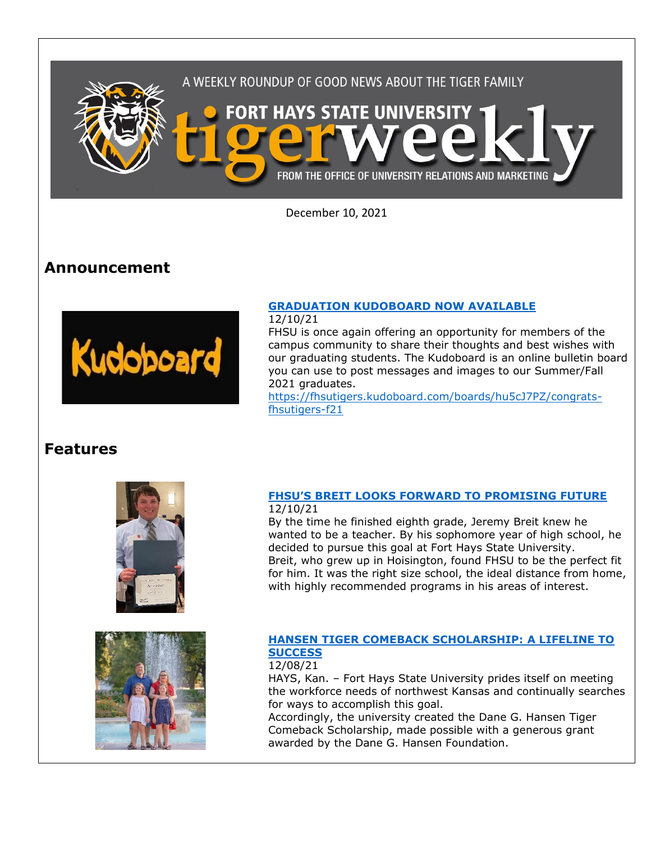

December 10, 2021

# **Announcement**



## **[GRADUATION KUDOBOARD NOW AVAILABLE](https://fhsutigers.kudoboard.com/boards/hu5cJ7PZ/congrats-fhsutigers-f21)**

12/10/21

FHSU is once again offering an opportunity for members of the campus community to share their thoughts and best wishes with our graduating students. The Kudoboard is an online bulletin board you can use to post messages and images to our Summer/Fall 2021 graduates.

[https://fhsutigers.kudoboard.com/boards/hu5cJ7PZ/congrats](https://fhsutigers.kudoboard.com/boards/hu5cJ7PZ/congrats-fhsutigers-f21)[fhsutigers-f21](https://fhsutigers.kudoboard.com/boards/hu5cJ7PZ/congrats-fhsutigers-f21)

# **Features**





### **[FHSU'S BREIT LOOKS FORWARD TO PROMISING FUTURE](https://at.fhsu.edu/fhsus-breit-looks-forward-to-promising-future)** 12/10/21

By the time he finished eighth grade, Jeremy Breit knew he wanted to be a teacher. By his sophomore year of high school, he decided to pursue this goal at Fort Hays State University. Breit, who grew up in Hoisington, found FHSU to be the perfect fit for him. It was the right size school, the ideal distance from home, with highly recommended programs in his areas of interest.

#### **HANSEN [TIGER COMEBACK SCHOLARSHIP: A LIFELINE TO](https://www.fhsu.edu/news/2021/12/hansen-tiger-comeback-scholarship-a-lifeline-to-success)  [SUCCESS](https://www.fhsu.edu/news/2021/12/hansen-tiger-comeback-scholarship-a-lifeline-to-success)** 12/08/21

HAYS, Kan. – Fort Hays State University prides itself on meeting the workforce needs of northwest Kansas and continually searches for ways to accomplish this goal.

Accordingly, the university created the Dane G. Hansen Tiger Comeback Scholarship, made possible with a generous grant awarded by the Dane G. Hansen Foundation.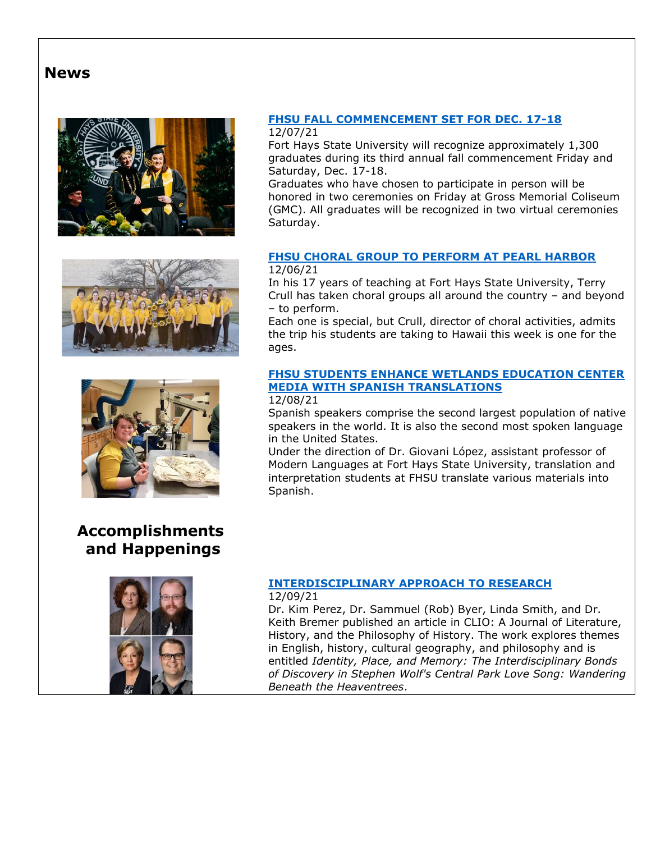# **News**







# **Accomplishments and Happenings**



#### **[FHSU FALL COMMENCEMENT SET FOR DEC. 17-18](https://www.fhsu.edu/news/2021/12/fhsu-fall-commencement-set-for-dec.-17-18)** 12/07/21

Fort Hays State University will recognize approximately 1,300 graduates during its third annual fall commencement Friday and Saturday, Dec. 17-18.

Graduates who have chosen to participate in person will be honored in two ceremonies on Friday at Gross Memorial Coliseum (GMC). All graduates will be recognized in two virtual ceremonies Saturday.

## **[FHSU CHORAL GROUP TO PERFORM AT PEARL HARBOR](https://www.fhsu.edu/news/2021/12/fhsu-choral-group-to-perform-at-pearl-harbor)** 12/06/21

In his 17 years of teaching at Fort Hays State University, Terry Crull has taken choral groups all around the country – and beyond – to perform.

Each one is special, but Crull, director of choral activities, admits the trip his students are taking to Hawaii this week is one for the ages.

# **[FHSU STUDENTS ENHANCE WETLANDS EDUCATION CENTER](https://www.fhsu.edu/news/2021/12/fhsu-students-enhance-wetlands-education-center-media-with-spanish-translations)  [MEDIA WITH SPANISH TRANSLATIONS](https://www.fhsu.edu/news/2021/12/fhsu-students-enhance-wetlands-education-center-media-with-spanish-translations)**

## 12/08/21

Spanish speakers comprise the second largest population of native speakers in the world. It is also the second most spoken language in the United States.

Under the direction of Dr. Giovani López, assistant professor of Modern Languages at Fort Hays State University, translation and interpretation students at FHSU translate various materials into Spanish.

#### **[INTERDISCIPLINARY APPROACH TO RESEARCH](https://www.pfw.edu/clio/)** 12/09/21

Dr. Kim Perez, Dr. Sammuel (Rob) Byer, Linda Smith, and Dr. Keith Bremer published an article in CLIO: A Journal of Literature, History, and the Philosophy of History. The work explores themes in English, history, cultural geography, and philosophy and is entitled *Identity, Place, and Memory: The Interdisciplinary Bonds of Discovery in Stephen Wolf's Central Park Love Song: Wandering Beneath the Heaventrees*.